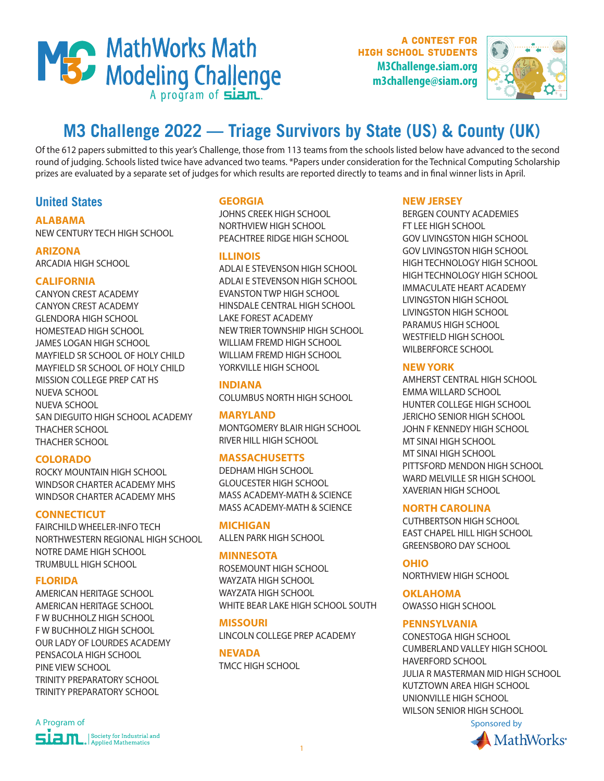

A contest for high school students **M3Challenge.siam.org m3challenge@siam.org**



# **M3 Challenge 2022 — Triage Survivors by State (US) & County (UK)**

Of the 612 papers submitted to this year's Challenge, those from 113 teams from the schools listed below have advanced to the second round of judging. Schools listed twice have advanced two teams. \*Papers under consideration for the Technical Computing Scholarship prizes are evaluated by a separate set of judges for which results are reported directly to teams and in final winner lists in April.

# **United States**

**ALABAMA** NEW CENTURY TECH HIGH SCHOOL

# **ARIZONA**

ARCADIA HIGH SCHOOL

# **CALIFORNIA**

CANYON CREST ACADEMY CANYON CREST ACADEMY GLENDORA HIGH SCHOOL HOMESTEAD HIGH SCHOOL JAMES LOGAN HIGH SCHOOL MAYFIELD SR SCHOOL OF HOLY CHILD MAYFIELD SR SCHOOL OF HOLY CHILD MISSION COLLEGE PREP CAT HS NUEVA SCHOOL NUEVA SCHOOL SAN DIEGUITO HIGH SCHOOL ACADEMY THACHER SCHOOL THACHER SCHOOL

#### **COLORADO**

ROCKY MOUNTAIN HIGH SCHOOL WINDSOR CHARTER ACADEMY MHS WINDSOR CHARTER ACADEMY MHS

#### **CONNECTICUT**

FAIRCHILD WHEELER-INFO TECH NORTHWESTERN REGIONAL HIGH SCHOOL NOTRE DAME HIGH SCHOOL TRUMBULL HIGH SCHOOL

#### **FLORIDA**

AMERICAN HERITAGE SCHOOL AMERICAN HERITAGE SCHOOL F W BUCHHOLZ HIGH SCHOOL F W BUCHHOLZ HIGH SCHOOL OUR LADY OF LOURDES ACADEMY PENSACOLA HIGH SCHOOL PINE VIEW SCHOOL TRINITY PREPARATORY SCHOOL TRINITY PREPARATORY SCHOOL

# **GEORGIA**

JOHNS CREEK HIGH SCHOOL NORTHVIEW HIGH SCHOOL PEACHTREE RIDGE HIGH SCHOOL

# **ILLINOIS**

ADLAI E STEVENSON HIGH SCHOOL ADLAI E STEVENSON HIGH SCHOOL EVANSTON TWP HIGH SCHOOL HINSDALE CENTRAL HIGH SCHOOL LAKE FOREST ACADEMY NEW TRIER TOWNSHIP HIGH SCHOOL WILLIAM FREMD HIGH SCHOOL WILLIAM FREMD HIGH SCHOOL YORKVILLE HIGH SCHOOL

# **INDIANA**

COLUMBUS NORTH HIGH SCHOOL

#### **MARYLAND**

MONTGOMERY BLAIR HIGH SCHOOL RIVER HILL HIGH SCHOOL

# **MASSACHUSETTS**

DEDHAM HIGH SCHOOL GLOUCESTER HIGH SCHOOL MASS ACADEMY-MATH & SCIENCE MASS ACADEMY-MATH & SCIENCE

**MICHIGAN**  ALLEN PARK HIGH SCHOOL

# **MINNESOTA**

ROSEMOUNT HIGH SCHOOL WAYZATA HIGH SCHOOL WAYZATA HIGH SCHOOL WHITE BEAR LAKE HIGH SCHOOL SOUTH

**MISSOURI**  LINCOLN COLLEGE PREP ACADEMY

**NEVADA**  TMCC HIGH SCHOOL

# **NEW JERSEY**

BERGEN COUNTY ACADEMIES FT LEE HIGH SCHOOL GOV LIVINGSTON HIGH SCHOOL GOV LIVINGSTON HIGH SCHOOL HIGH TECHNOLOGY HIGH SCHOOL HIGH TECHNOLOGY HIGH SCHOOL IMMACULATE HEART ACADEMY LIVINGSTON HIGH SCHOOL LIVINGSTON HIGH SCHOOL PARAMUS HIGH SCHOOL WESTFIELD HIGH SCHOOL WILBERFORCE SCHOOL

# **NEW YORK**

AMHERST CENTRAL HIGH SCHOOL EMMA WILLARD SCHOOL HUNTER COLLEGE HIGH SCHOOL JERICHO SENIOR HIGH SCHOOL JOHN F KENNEDY HIGH SCHOOL MT SINAI HIGH SCHOOL MT SINAI HIGH SCHOOL PITTSFORD MENDON HIGH SCHOOL WARD MELVILLE SR HIGH SCHOOL XAVERIAN HIGH SCHOOL

#### **NORTH CAROLINA**

CUTHBERTSON HIGH SCHOOL EAST CHAPEL HILL HIGH SCHOOL GREENSBORO DAY SCHOOL

# **OHIO**

NORTHVIEW HIGH SCHOOL

**OKLAHOMA**  OWASSO HIGH SCHOOL

# **PENNSYLVANIA**

CONESTOGA HIGH SCHOOL CUMBERLAND VALLEY HIGH SCHOOL HAVERFORD SCHOOL JULIA R MASTERMAN MID HIGH SCHOOL KUTZTOWN AREA HIGH SCHOOL UNIONVILLE HIGH SCHOOL WILSON SENIOR HIGH SCHOOL